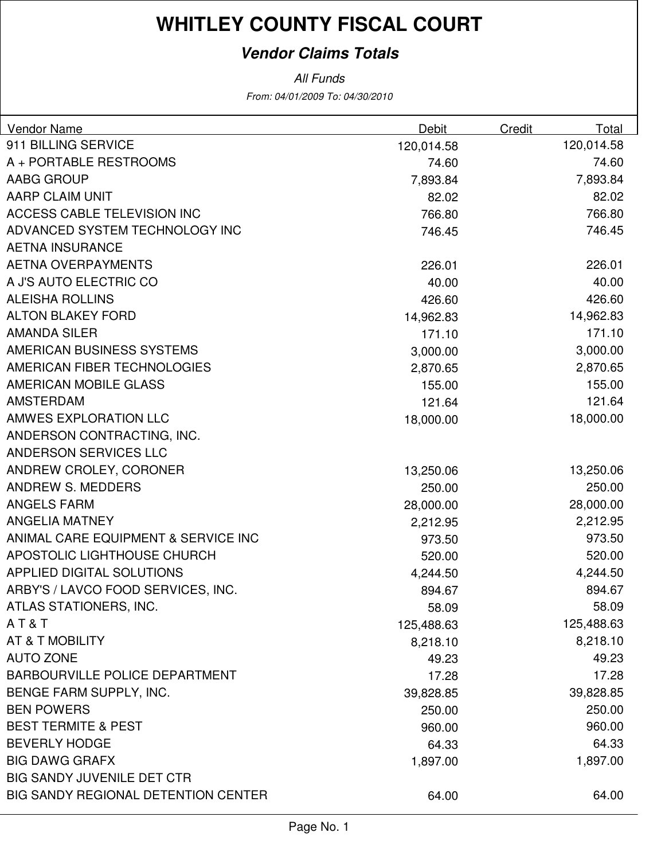#### **Vendor Claims Totals**

| <b>Vendor Name</b>                  | Debit      | Credit     | Total |
|-------------------------------------|------------|------------|-------|
| 911 BILLING SERVICE                 | 120,014.58 | 120,014.58 |       |
| A + PORTABLE RESTROOMS              | 74.60      |            | 74.60 |
| AABG GROUP                          | 7,893.84   | 7,893.84   |       |
| AARP CLAIM UNIT                     | 82.02      |            | 82.02 |
| ACCESS CABLE TELEVISION INC         | 766.80     | 766.80     |       |
| ADVANCED SYSTEM TECHNOLOGY INC      | 746.45     | 746.45     |       |
| <b>AETNA INSURANCE</b>              |            |            |       |
| <b>AETNA OVERPAYMENTS</b>           | 226.01     | 226.01     |       |
| A J'S AUTO ELECTRIC CO              | 40.00      |            | 40.00 |
| <b>ALEISHA ROLLINS</b>              | 426.60     | 426.60     |       |
| <b>ALTON BLAKEY FORD</b>            | 14,962.83  | 14,962.83  |       |
| <b>AMANDA SILER</b>                 | 171.10     | 171.10     |       |
| AMERICAN BUSINESS SYSTEMS           | 3,000.00   | 3,000.00   |       |
| AMERICAN FIBER TECHNOLOGIES         | 2,870.65   | 2,870.65   |       |
| AMERICAN MOBILE GLASS               | 155.00     | 155.00     |       |
| <b>AMSTERDAM</b>                    | 121.64     | 121.64     |       |
| AMWES EXPLORATION LLC               | 18,000.00  | 18,000.00  |       |
| ANDERSON CONTRACTING, INC.          |            |            |       |
| ANDERSON SERVICES LLC               |            |            |       |
| ANDREW CROLEY, CORONER              | 13,250.06  | 13,250.06  |       |
| ANDREW S. MEDDERS                   | 250.00     | 250.00     |       |
| <b>ANGELS FARM</b>                  | 28,000.00  | 28,000.00  |       |
| <b>ANGELIA MATNEY</b>               | 2,212.95   | 2,212.95   |       |
| ANIMAL CARE EQUIPMENT & SERVICE INC | 973.50     | 973.50     |       |
| APOSTOLIC LIGHTHOUSE CHURCH         | 520.00     | 520.00     |       |
| APPLIED DIGITAL SOLUTIONS           | 4,244.50   | 4,244.50   |       |
| ARBY'S / LAVCO FOOD SERVICES, INC.  | 894.67     | 894.67     |       |
| ATLAS STATIONERS, INC.              | 58.09      |            | 58.09 |
| AT&T                                | 125,488.63 | 125,488.63 |       |
| AT & T MOBILITY                     | 8,218.10   | 8,218.10   |       |
| <b>AUTO ZONE</b>                    | 49.23      |            | 49.23 |
| BARBOURVILLE POLICE DEPARTMENT      | 17.28      |            | 17.28 |
| BENGE FARM SUPPLY, INC.             | 39,828.85  | 39,828.85  |       |
| <b>BEN POWERS</b>                   | 250.00     | 250.00     |       |
| <b>BEST TERMITE &amp; PEST</b>      | 960.00     | 960.00     |       |
| <b>BEVERLY HODGE</b>                | 64.33      |            | 64.33 |
| <b>BIG DAWG GRAFX</b>               | 1,897.00   | 1,897.00   |       |
| <b>BIG SANDY JUVENILE DET CTR</b>   |            |            |       |
| BIG SANDY REGIONAL DETENTION CENTER | 64.00      |            | 64.00 |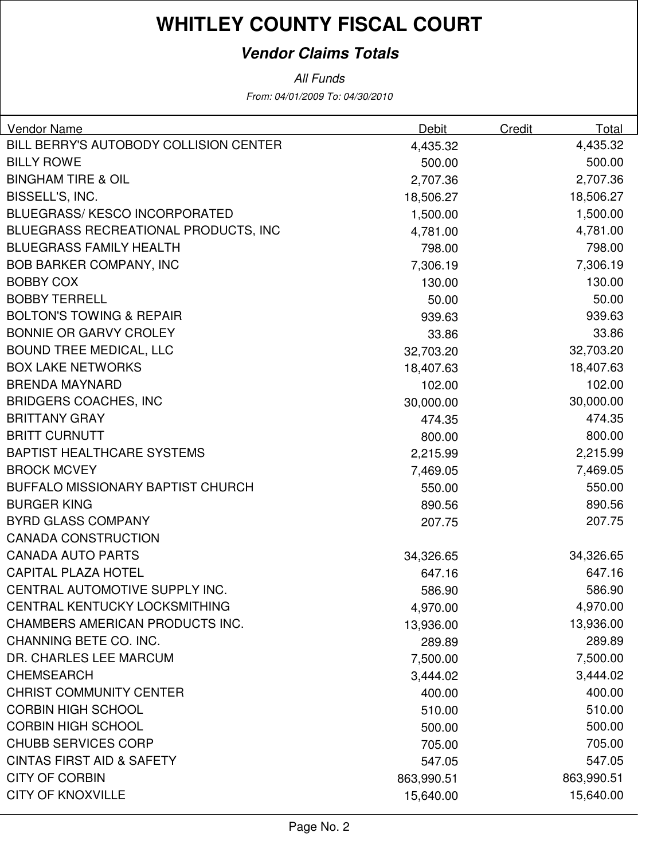#### **Vendor Claims Totals**

All Funds

From: 04/01/2009 To: 04/30/2010

| BILL BERRY'S AUTOBODY COLLISION CENTER<br>4,435.32<br>4,435.32<br><b>BILLY ROWE</b><br>500.00<br>500.00<br><b>BINGHAM TIRE &amp; OIL</b><br>2,707.36<br>2,707.36<br>BISSELL'S, INC.<br>18,506.27<br>18,506.27<br><b>BLUEGRASS/KESCO INCORPORATED</b><br>1,500.00<br>1,500.00<br>BLUEGRASS RECREATIONAL PRODUCTS, INC<br>4,781.00<br>4,781.00<br><b>BLUEGRASS FAMILY HEALTH</b><br>798.00<br>798.00<br><b>BOB BARKER COMPANY, INC</b><br>7,306.19<br>7,306.19<br>130.00<br><b>BOBBY COX</b><br>130.00<br><b>BOBBY TERRELL</b><br>50.00<br>50.00<br><b>BOLTON'S TOWING &amp; REPAIR</b><br>939.63<br>939.63<br><b>BONNIE OR GARVY CROLEY</b><br>33.86<br>33.86<br><b>BOUND TREE MEDICAL, LLC</b><br>32,703.20<br>32,703.20<br><b>BOX LAKE NETWORKS</b><br>18,407.63<br>18,407.63<br><b>BRENDA MAYNARD</b><br>102.00<br>102.00<br><b>BRIDGERS COACHES, INC</b><br>30,000.00<br>30,000.00<br><b>BRITTANY GRAY</b><br>474.35<br>474.35<br><b>BRITT CURNUTT</b><br>800.00<br>800.00<br><b>BAPTIST HEALTHCARE SYSTEMS</b><br>2,215.99<br>2,215.99<br><b>BROCK MCVEY</b><br>7,469.05<br>7,469.05<br><b>BUFFALO MISSIONARY BAPTIST CHURCH</b><br>550.00<br>550.00<br><b>BURGER KING</b><br>890.56<br>890.56<br><b>BYRD GLASS COMPANY</b><br>207.75<br>207.75<br><b>CANADA CONSTRUCTION</b><br><b>CANADA AUTO PARTS</b><br>34,326.65<br>34,326.65<br><b>CAPITAL PLAZA HOTEL</b><br>647.16<br>647.16<br>CENTRAL AUTOMOTIVE SUPPLY INC.<br>586.90<br>586.90<br>CENTRAL KENTUCKY LOCKSMITHING<br>4,970.00<br>4,970.00<br>CHAMBERS AMERICAN PRODUCTS INC.<br>13,936.00<br>13,936.00<br>CHANNING BETE CO. INC.<br>289.89<br>289.89<br>DR. CHARLES LEE MARCUM<br>7,500.00<br>7,500.00<br><b>CHEMSEARCH</b><br>3,444.02<br>3,444.02<br><b>CHRIST COMMUNITY CENTER</b><br>400.00<br>400.00<br><b>CORBIN HIGH SCHOOL</b><br>510.00<br>510.00<br><b>CORBIN HIGH SCHOOL</b><br>500.00<br>500.00<br><b>CHUBB SERVICES CORP</b><br>705.00<br>705.00<br><b>CINTAS FIRST AID &amp; SAFETY</b><br>547.05<br>547.05<br><b>CITY OF CORBIN</b><br>863,990.51<br>863,990.51 | <b>Vendor Name</b> | Debit | Credit<br>Total |
|-----------------------------------------------------------------------------------------------------------------------------------------------------------------------------------------------------------------------------------------------------------------------------------------------------------------------------------------------------------------------------------------------------------------------------------------------------------------------------------------------------------------------------------------------------------------------------------------------------------------------------------------------------------------------------------------------------------------------------------------------------------------------------------------------------------------------------------------------------------------------------------------------------------------------------------------------------------------------------------------------------------------------------------------------------------------------------------------------------------------------------------------------------------------------------------------------------------------------------------------------------------------------------------------------------------------------------------------------------------------------------------------------------------------------------------------------------------------------------------------------------------------------------------------------------------------------------------------------------------------------------------------------------------------------------------------------------------------------------------------------------------------------------------------------------------------------------------------------------------------------------------------------------------------------------------------------------------------------------------------------------------------------------------------------|--------------------|-------|-----------------|
|                                                                                                                                                                                                                                                                                                                                                                                                                                                                                                                                                                                                                                                                                                                                                                                                                                                                                                                                                                                                                                                                                                                                                                                                                                                                                                                                                                                                                                                                                                                                                                                                                                                                                                                                                                                                                                                                                                                                                                                                                                               |                    |       |                 |
|                                                                                                                                                                                                                                                                                                                                                                                                                                                                                                                                                                                                                                                                                                                                                                                                                                                                                                                                                                                                                                                                                                                                                                                                                                                                                                                                                                                                                                                                                                                                                                                                                                                                                                                                                                                                                                                                                                                                                                                                                                               |                    |       |                 |
|                                                                                                                                                                                                                                                                                                                                                                                                                                                                                                                                                                                                                                                                                                                                                                                                                                                                                                                                                                                                                                                                                                                                                                                                                                                                                                                                                                                                                                                                                                                                                                                                                                                                                                                                                                                                                                                                                                                                                                                                                                               |                    |       |                 |
|                                                                                                                                                                                                                                                                                                                                                                                                                                                                                                                                                                                                                                                                                                                                                                                                                                                                                                                                                                                                                                                                                                                                                                                                                                                                                                                                                                                                                                                                                                                                                                                                                                                                                                                                                                                                                                                                                                                                                                                                                                               |                    |       |                 |
|                                                                                                                                                                                                                                                                                                                                                                                                                                                                                                                                                                                                                                                                                                                                                                                                                                                                                                                                                                                                                                                                                                                                                                                                                                                                                                                                                                                                                                                                                                                                                                                                                                                                                                                                                                                                                                                                                                                                                                                                                                               |                    |       |                 |
|                                                                                                                                                                                                                                                                                                                                                                                                                                                                                                                                                                                                                                                                                                                                                                                                                                                                                                                                                                                                                                                                                                                                                                                                                                                                                                                                                                                                                                                                                                                                                                                                                                                                                                                                                                                                                                                                                                                                                                                                                                               |                    |       |                 |
|                                                                                                                                                                                                                                                                                                                                                                                                                                                                                                                                                                                                                                                                                                                                                                                                                                                                                                                                                                                                                                                                                                                                                                                                                                                                                                                                                                                                                                                                                                                                                                                                                                                                                                                                                                                                                                                                                                                                                                                                                                               |                    |       |                 |
|                                                                                                                                                                                                                                                                                                                                                                                                                                                                                                                                                                                                                                                                                                                                                                                                                                                                                                                                                                                                                                                                                                                                                                                                                                                                                                                                                                                                                                                                                                                                                                                                                                                                                                                                                                                                                                                                                                                                                                                                                                               |                    |       |                 |
|                                                                                                                                                                                                                                                                                                                                                                                                                                                                                                                                                                                                                                                                                                                                                                                                                                                                                                                                                                                                                                                                                                                                                                                                                                                                                                                                                                                                                                                                                                                                                                                                                                                                                                                                                                                                                                                                                                                                                                                                                                               |                    |       |                 |
|                                                                                                                                                                                                                                                                                                                                                                                                                                                                                                                                                                                                                                                                                                                                                                                                                                                                                                                                                                                                                                                                                                                                                                                                                                                                                                                                                                                                                                                                                                                                                                                                                                                                                                                                                                                                                                                                                                                                                                                                                                               |                    |       |                 |
|                                                                                                                                                                                                                                                                                                                                                                                                                                                                                                                                                                                                                                                                                                                                                                                                                                                                                                                                                                                                                                                                                                                                                                                                                                                                                                                                                                                                                                                                                                                                                                                                                                                                                                                                                                                                                                                                                                                                                                                                                                               |                    |       |                 |
|                                                                                                                                                                                                                                                                                                                                                                                                                                                                                                                                                                                                                                                                                                                                                                                                                                                                                                                                                                                                                                                                                                                                                                                                                                                                                                                                                                                                                                                                                                                                                                                                                                                                                                                                                                                                                                                                                                                                                                                                                                               |                    |       |                 |
|                                                                                                                                                                                                                                                                                                                                                                                                                                                                                                                                                                                                                                                                                                                                                                                                                                                                                                                                                                                                                                                                                                                                                                                                                                                                                                                                                                                                                                                                                                                                                                                                                                                                                                                                                                                                                                                                                                                                                                                                                                               |                    |       |                 |
|                                                                                                                                                                                                                                                                                                                                                                                                                                                                                                                                                                                                                                                                                                                                                                                                                                                                                                                                                                                                                                                                                                                                                                                                                                                                                                                                                                                                                                                                                                                                                                                                                                                                                                                                                                                                                                                                                                                                                                                                                                               |                    |       |                 |
|                                                                                                                                                                                                                                                                                                                                                                                                                                                                                                                                                                                                                                                                                                                                                                                                                                                                                                                                                                                                                                                                                                                                                                                                                                                                                                                                                                                                                                                                                                                                                                                                                                                                                                                                                                                                                                                                                                                                                                                                                                               |                    |       |                 |
|                                                                                                                                                                                                                                                                                                                                                                                                                                                                                                                                                                                                                                                                                                                                                                                                                                                                                                                                                                                                                                                                                                                                                                                                                                                                                                                                                                                                                                                                                                                                                                                                                                                                                                                                                                                                                                                                                                                                                                                                                                               |                    |       |                 |
|                                                                                                                                                                                                                                                                                                                                                                                                                                                                                                                                                                                                                                                                                                                                                                                                                                                                                                                                                                                                                                                                                                                                                                                                                                                                                                                                                                                                                                                                                                                                                                                                                                                                                                                                                                                                                                                                                                                                                                                                                                               |                    |       |                 |
|                                                                                                                                                                                                                                                                                                                                                                                                                                                                                                                                                                                                                                                                                                                                                                                                                                                                                                                                                                                                                                                                                                                                                                                                                                                                                                                                                                                                                                                                                                                                                                                                                                                                                                                                                                                                                                                                                                                                                                                                                                               |                    |       |                 |
|                                                                                                                                                                                                                                                                                                                                                                                                                                                                                                                                                                                                                                                                                                                                                                                                                                                                                                                                                                                                                                                                                                                                                                                                                                                                                                                                                                                                                                                                                                                                                                                                                                                                                                                                                                                                                                                                                                                                                                                                                                               |                    |       |                 |
|                                                                                                                                                                                                                                                                                                                                                                                                                                                                                                                                                                                                                                                                                                                                                                                                                                                                                                                                                                                                                                                                                                                                                                                                                                                                                                                                                                                                                                                                                                                                                                                                                                                                                                                                                                                                                                                                                                                                                                                                                                               |                    |       |                 |
|                                                                                                                                                                                                                                                                                                                                                                                                                                                                                                                                                                                                                                                                                                                                                                                                                                                                                                                                                                                                                                                                                                                                                                                                                                                                                                                                                                                                                                                                                                                                                                                                                                                                                                                                                                                                                                                                                                                                                                                                                                               |                    |       |                 |
|                                                                                                                                                                                                                                                                                                                                                                                                                                                                                                                                                                                                                                                                                                                                                                                                                                                                                                                                                                                                                                                                                                                                                                                                                                                                                                                                                                                                                                                                                                                                                                                                                                                                                                                                                                                                                                                                                                                                                                                                                                               |                    |       |                 |
|                                                                                                                                                                                                                                                                                                                                                                                                                                                                                                                                                                                                                                                                                                                                                                                                                                                                                                                                                                                                                                                                                                                                                                                                                                                                                                                                                                                                                                                                                                                                                                                                                                                                                                                                                                                                                                                                                                                                                                                                                                               |                    |       |                 |
|                                                                                                                                                                                                                                                                                                                                                                                                                                                                                                                                                                                                                                                                                                                                                                                                                                                                                                                                                                                                                                                                                                                                                                                                                                                                                                                                                                                                                                                                                                                                                                                                                                                                                                                                                                                                                                                                                                                                                                                                                                               |                    |       |                 |
|                                                                                                                                                                                                                                                                                                                                                                                                                                                                                                                                                                                                                                                                                                                                                                                                                                                                                                                                                                                                                                                                                                                                                                                                                                                                                                                                                                                                                                                                                                                                                                                                                                                                                                                                                                                                                                                                                                                                                                                                                                               |                    |       |                 |
|                                                                                                                                                                                                                                                                                                                                                                                                                                                                                                                                                                                                                                                                                                                                                                                                                                                                                                                                                                                                                                                                                                                                                                                                                                                                                                                                                                                                                                                                                                                                                                                                                                                                                                                                                                                                                                                                                                                                                                                                                                               |                    |       |                 |
|                                                                                                                                                                                                                                                                                                                                                                                                                                                                                                                                                                                                                                                                                                                                                                                                                                                                                                                                                                                                                                                                                                                                                                                                                                                                                                                                                                                                                                                                                                                                                                                                                                                                                                                                                                                                                                                                                                                                                                                                                                               |                    |       |                 |
|                                                                                                                                                                                                                                                                                                                                                                                                                                                                                                                                                                                                                                                                                                                                                                                                                                                                                                                                                                                                                                                                                                                                                                                                                                                                                                                                                                                                                                                                                                                                                                                                                                                                                                                                                                                                                                                                                                                                                                                                                                               |                    |       |                 |
|                                                                                                                                                                                                                                                                                                                                                                                                                                                                                                                                                                                                                                                                                                                                                                                                                                                                                                                                                                                                                                                                                                                                                                                                                                                                                                                                                                                                                                                                                                                                                                                                                                                                                                                                                                                                                                                                                                                                                                                                                                               |                    |       |                 |
|                                                                                                                                                                                                                                                                                                                                                                                                                                                                                                                                                                                                                                                                                                                                                                                                                                                                                                                                                                                                                                                                                                                                                                                                                                                                                                                                                                                                                                                                                                                                                                                                                                                                                                                                                                                                                                                                                                                                                                                                                                               |                    |       |                 |
|                                                                                                                                                                                                                                                                                                                                                                                                                                                                                                                                                                                                                                                                                                                                                                                                                                                                                                                                                                                                                                                                                                                                                                                                                                                                                                                                                                                                                                                                                                                                                                                                                                                                                                                                                                                                                                                                                                                                                                                                                                               |                    |       |                 |
|                                                                                                                                                                                                                                                                                                                                                                                                                                                                                                                                                                                                                                                                                                                                                                                                                                                                                                                                                                                                                                                                                                                                                                                                                                                                                                                                                                                                                                                                                                                                                                                                                                                                                                                                                                                                                                                                                                                                                                                                                                               |                    |       |                 |
|                                                                                                                                                                                                                                                                                                                                                                                                                                                                                                                                                                                                                                                                                                                                                                                                                                                                                                                                                                                                                                                                                                                                                                                                                                                                                                                                                                                                                                                                                                                                                                                                                                                                                                                                                                                                                                                                                                                                                                                                                                               |                    |       |                 |
|                                                                                                                                                                                                                                                                                                                                                                                                                                                                                                                                                                                                                                                                                                                                                                                                                                                                                                                                                                                                                                                                                                                                                                                                                                                                                                                                                                                                                                                                                                                                                                                                                                                                                                                                                                                                                                                                                                                                                                                                                                               |                    |       |                 |
|                                                                                                                                                                                                                                                                                                                                                                                                                                                                                                                                                                                                                                                                                                                                                                                                                                                                                                                                                                                                                                                                                                                                                                                                                                                                                                                                                                                                                                                                                                                                                                                                                                                                                                                                                                                                                                                                                                                                                                                                                                               |                    |       |                 |
|                                                                                                                                                                                                                                                                                                                                                                                                                                                                                                                                                                                                                                                                                                                                                                                                                                                                                                                                                                                                                                                                                                                                                                                                                                                                                                                                                                                                                                                                                                                                                                                                                                                                                                                                                                                                                                                                                                                                                                                                                                               |                    |       |                 |
|                                                                                                                                                                                                                                                                                                                                                                                                                                                                                                                                                                                                                                                                                                                                                                                                                                                                                                                                                                                                                                                                                                                                                                                                                                                                                                                                                                                                                                                                                                                                                                                                                                                                                                                                                                                                                                                                                                                                                                                                                                               |                    |       |                 |
|                                                                                                                                                                                                                                                                                                                                                                                                                                                                                                                                                                                                                                                                                                                                                                                                                                                                                                                                                                                                                                                                                                                                                                                                                                                                                                                                                                                                                                                                                                                                                                                                                                                                                                                                                                                                                                                                                                                                                                                                                                               |                    |       |                 |
| <b>CITY OF KNOXVILLE</b><br>15,640.00<br>15,640.00                                                                                                                                                                                                                                                                                                                                                                                                                                                                                                                                                                                                                                                                                                                                                                                                                                                                                                                                                                                                                                                                                                                                                                                                                                                                                                                                                                                                                                                                                                                                                                                                                                                                                                                                                                                                                                                                                                                                                                                            |                    |       |                 |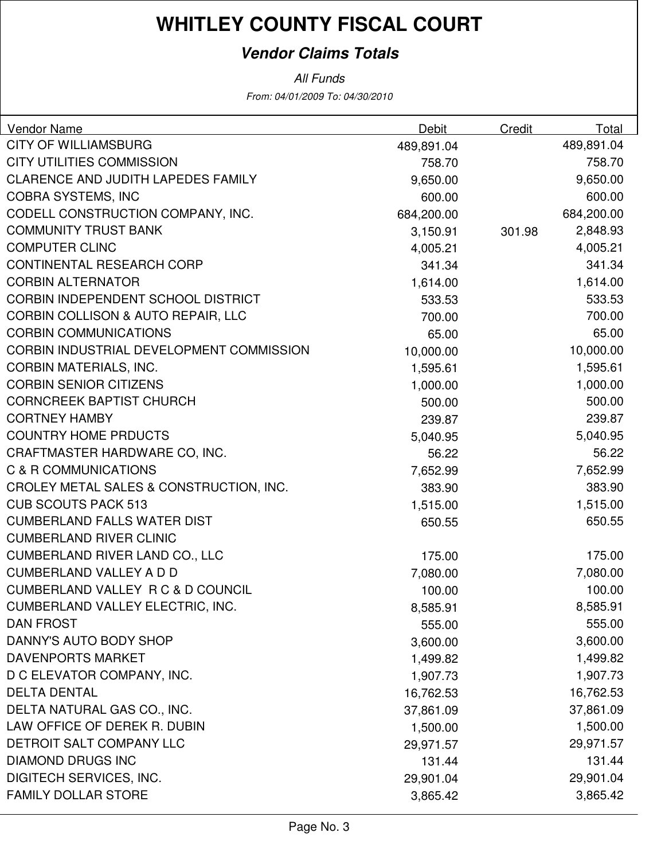#### **Vendor Claims Totals**

| Vendor Name                                   | Debit      | Credit | Total      |
|-----------------------------------------------|------------|--------|------------|
| <b>CITY OF WILLIAMSBURG</b>                   | 489,891.04 |        | 489,891.04 |
| <b>CITY UTILITIES COMMISSION</b>              | 758.70     |        | 758.70     |
| CLARENCE AND JUDITH LAPEDES FAMILY            | 9,650.00   |        | 9,650.00   |
| <b>COBRA SYSTEMS, INC</b>                     | 600.00     |        | 600.00     |
| CODELL CONSTRUCTION COMPANY, INC.             | 684,200.00 |        | 684,200.00 |
| <b>COMMUNITY TRUST BANK</b>                   | 3,150.91   | 301.98 | 2,848.93   |
| <b>COMPUTER CLINC</b>                         | 4,005.21   |        | 4,005.21   |
| <b>CONTINENTAL RESEARCH CORP</b>              | 341.34     |        | 341.34     |
| <b>CORBIN ALTERNATOR</b>                      | 1,614.00   |        | 1,614.00   |
| <b>CORBIN INDEPENDENT SCHOOL DISTRICT</b>     | 533.53     |        | 533.53     |
| <b>CORBIN COLLISON &amp; AUTO REPAIR, LLC</b> | 700.00     |        | 700.00     |
| <b>CORBIN COMMUNICATIONS</b>                  | 65.00      |        | 65.00      |
| CORBIN INDUSTRIAL DEVELOPMENT COMMISSION      | 10,000.00  |        | 10,000.00  |
| <b>CORBIN MATERIALS, INC.</b>                 | 1,595.61   |        | 1,595.61   |
| <b>CORBIN SENIOR CITIZENS</b>                 | 1,000.00   |        | 1,000.00   |
| <b>CORNCREEK BAPTIST CHURCH</b>               | 500.00     |        | 500.00     |
| <b>CORTNEY HAMBY</b>                          | 239.87     |        | 239.87     |
| <b>COUNTRY HOME PRDUCTS</b>                   | 5,040.95   |        | 5,040.95   |
| CRAFTMASTER HARDWARE CO, INC.                 | 56.22      |        | 56.22      |
| C & R COMMUNICATIONS                          | 7,652.99   |        | 7,652.99   |
| CROLEY METAL SALES & CONSTRUCTION, INC.       | 383.90     |        | 383.90     |
| <b>CUB SCOUTS PACK 513</b>                    | 1,515.00   |        | 1,515.00   |
| <b>CUMBERLAND FALLS WATER DIST</b>            | 650.55     |        | 650.55     |
| <b>CUMBERLAND RIVER CLINIC</b>                |            |        |            |
| <b>CUMBERLAND RIVER LAND CO., LLC</b>         | 175.00     |        | 175.00     |
| <b>CUMBERLAND VALLEY A D D</b>                | 7,080.00   |        | 7,080.00   |
| CUMBERLAND VALLEY R C & D COUNCIL             | 100.00     |        | 100.00     |
| CUMBERLAND VALLEY ELECTRIC, INC.              | 8,585.91   |        | 8,585.91   |
| <b>DAN FROST</b>                              | 555.00     |        | 555.00     |
| DANNY'S AUTO BODY SHOP                        | 3,600.00   |        | 3,600.00   |
| <b>DAVENPORTS MARKET</b>                      | 1,499.82   |        | 1,499.82   |
| D C ELEVATOR COMPANY, INC.                    | 1,907.73   |        | 1,907.73   |
| <b>DELTA DENTAL</b>                           | 16,762.53  |        | 16,762.53  |
| DELTA NATURAL GAS CO., INC.                   | 37,861.09  |        | 37,861.09  |
| LAW OFFICE OF DEREK R. DUBIN                  | 1,500.00   |        | 1,500.00   |
| DETROIT SALT COMPANY LLC                      | 29,971.57  |        | 29,971.57  |
| <b>DIAMOND DRUGS INC</b>                      | 131.44     |        | 131.44     |
| DIGITECH SERVICES, INC.                       | 29,901.04  |        | 29,901.04  |
| <b>FAMILY DOLLAR STORE</b>                    | 3,865.42   |        | 3,865.42   |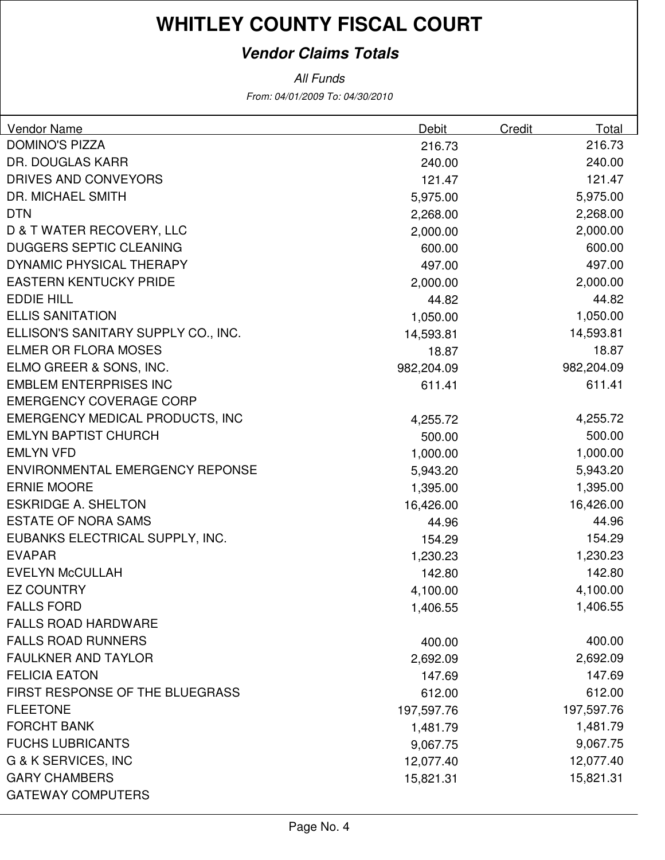### **Vendor Claims Totals**

| <b>Vendor Name</b><br><b>DOMINO'S PIZZA</b> | Debit      | Credit | Total<br>216.73       |
|---------------------------------------------|------------|--------|-----------------------|
| DR. DOUGLAS KARR                            | 216.73     |        | 240.00                |
| DRIVES AND CONVEYORS                        | 240.00     |        | 121.47                |
| <b>DR. MICHAEL SMITH</b>                    | 121.47     |        | 5,975.00              |
| <b>DTN</b>                                  | 5,975.00   |        | 2,268.00              |
| <b>D &amp; T WATER RECOVERY, LLC</b>        | 2,268.00   |        |                       |
| <b>DUGGERS SEPTIC CLEANING</b>              | 2,000.00   |        | 2,000.00<br>600.00    |
| DYNAMIC PHYSICAL THERAPY                    | 600.00     |        | 497.00                |
| <b>EASTERN KENTUCKY PRIDE</b>               | 497.00     |        |                       |
| <b>EDDIE HILL</b>                           | 2,000.00   |        | 2,000.00<br>44.82     |
| <b>ELLIS SANITATION</b>                     | 44.82      |        |                       |
| ELLISON'S SANITARY SUPPLY CO., INC.         | 1,050.00   |        | 1,050.00<br>14,593.81 |
| <b>ELMER OR FLORA MOSES</b>                 | 14,593.81  |        |                       |
|                                             | 18.87      |        | 18.87                 |
| ELMO GREER & SONS, INC.                     | 982,204.09 |        | 982,204.09            |
| <b>EMBLEM ENTERPRISES INC</b>               | 611.41     |        | 611.41                |
| <b>EMERGENCY COVERAGE CORP</b>              |            |        |                       |
| <b>EMERGENCY MEDICAL PRODUCTS, INC</b>      | 4,255.72   |        | 4,255.72              |
| <b>EMLYN BAPTIST CHURCH</b>                 | 500.00     |        | 500.00                |
| <b>EMLYN VFD</b>                            | 1,000.00   |        | 1,000.00              |
| <b>ENVIRONMENTAL EMERGENCY REPONSE</b>      | 5,943.20   |        | 5,943.20              |
| <b>ERNIE MOORE</b>                          | 1,395.00   |        | 1,395.00              |
| <b>ESKRIDGE A. SHELTON</b>                  | 16,426.00  |        | 16,426.00             |
| <b>ESTATE OF NORA SAMS</b>                  | 44.96      |        | 44.96                 |
| EUBANKS ELECTRICAL SUPPLY, INC.             | 154.29     |        | 154.29                |
| <b>EVAPAR</b>                               | 1,230.23   |        | 1,230.23              |
| <b>EVELYN McCULLAH</b>                      | 142.80     |        | 142.80                |
| <b>EZ COUNTRY</b>                           | 4,100.00   |        | 4,100.00              |
| <b>FALLS FORD</b>                           | 1,406.55   |        | 1,406.55              |
| <b>FALLS ROAD HARDWARE</b>                  |            |        |                       |
| <b>FALLS ROAD RUNNERS</b>                   | 400.00     |        | 400.00                |
| <b>FAULKNER AND TAYLOR</b>                  | 2,692.09   |        | 2,692.09              |
| <b>FELICIA EATON</b>                        | 147.69     |        | 147.69                |
| FIRST RESPONSE OF THE BLUEGRASS             | 612.00     |        | 612.00                |
| <b>FLEETONE</b>                             | 197,597.76 |        | 197,597.76            |
| <b>FORCHT BANK</b>                          | 1,481.79   |        | 1,481.79              |
| <b>FUCHS LUBRICANTS</b>                     | 9,067.75   |        | 9,067.75              |
| G & K SERVICES, INC                         | 12,077.40  |        | 12,077.40             |
| <b>GARY CHAMBERS</b>                        | 15,821.31  |        | 15,821.31             |
| <b>GATEWAY COMPUTERS</b>                    |            |        |                       |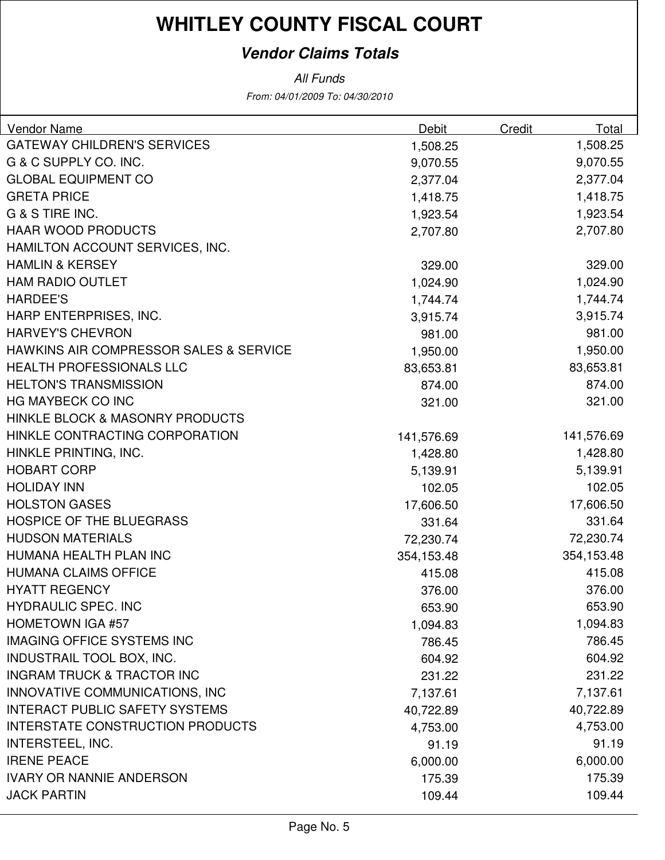#### **Vendor Claims Totals**

| <b>Vendor Name</b>                                | Debit      | Credit | Total      |
|---------------------------------------------------|------------|--------|------------|
| <b>GATEWAY CHILDREN'S SERVICES</b>                | 1,508.25   |        | 1,508.25   |
| G & C SUPPLY CO. INC.                             | 9,070.55   |        | 9,070.55   |
| <b>GLOBAL EQUIPMENT CO</b>                        | 2,377.04   |        | 2,377.04   |
| <b>GRETA PRICE</b>                                | 1,418.75   |        | 1,418.75   |
| G & S TIRE INC.                                   | 1,923.54   |        | 1,923.54   |
| <b>HAAR WOOD PRODUCTS</b>                         | 2,707.80   |        | 2,707.80   |
| HAMILTON ACCOUNT SERVICES, INC.                   |            |        |            |
| <b>HAMLIN &amp; KERSEY</b>                        | 329.00     |        | 329.00     |
| <b>HAM RADIO OUTLET</b>                           | 1,024.90   |        | 1,024.90   |
| <b>HARDEE'S</b>                                   | 1,744.74   |        | 1,744.74   |
| HARP ENTERPRISES, INC.                            | 3,915.74   |        | 3,915.74   |
| <b>HARVEY'S CHEVRON</b>                           | 981.00     |        | 981.00     |
| <b>HAWKINS AIR COMPRESSOR SALES &amp; SERVICE</b> | 1,950.00   |        | 1,950.00   |
| <b>HEALTH PROFESSIONALS LLC</b>                   | 83,653.81  |        | 83,653.81  |
| <b>HELTON'S TRANSMISSION</b>                      | 874.00     |        | 874.00     |
| <b>HG MAYBECK CO INC</b>                          | 321.00     |        | 321.00     |
| <b>HINKLE BLOCK &amp; MASONRY PRODUCTS</b>        |            |        |            |
| HINKLE CONTRACTING CORPORATION                    | 141,576.69 |        | 141,576.69 |
| HINKLE PRINTING, INC.                             | 1,428.80   |        | 1,428.80   |
| <b>HOBART CORP</b>                                | 5,139.91   |        | 5,139.91   |
| <b>HOLIDAY INN</b>                                | 102.05     |        | 102.05     |
| <b>HOLSTON GASES</b>                              | 17,606.50  |        | 17,606.50  |
| <b>HOSPICE OF THE BLUEGRASS</b>                   | 331.64     |        | 331.64     |
| <b>HUDSON MATERIALS</b>                           | 72,230.74  |        | 72,230.74  |
| HUMANA HEALTH PLAN INC                            | 354,153.48 |        | 354,153.48 |
| <b>HUMANA CLAIMS OFFICE</b>                       | 415.08     |        | 415.08     |
| <b>HYATT REGENCY</b>                              | 376.00     |        | 376.00     |
| <b>HYDRAULIC SPEC. INC</b>                        | 653.90     |        | 653.90     |
| <b>HOMETOWN IGA #57</b>                           | 1,094.83   |        | 1,094.83   |
| <b>IMAGING OFFICE SYSTEMS INC</b>                 | 786.45     |        | 786.45     |
| INDUSTRAIL TOOL BOX, INC.                         | 604.92     |        | 604.92     |
| <b>INGRAM TRUCK &amp; TRACTOR INC</b>             | 231.22     |        | 231.22     |
| INNOVATIVE COMMUNICATIONS, INC                    | 7,137.61   |        | 7,137.61   |
| <b>INTERACT PUBLIC SAFETY SYSTEMS</b>             | 40,722.89  |        | 40,722.89  |
| <b>INTERSTATE CONSTRUCTION PRODUCTS</b>           | 4,753.00   |        | 4,753.00   |
| INTERSTEEL, INC.                                  | 91.19      |        | 91.19      |
| <b>IRENE PEACE</b>                                | 6,000.00   |        | 6,000.00   |
| <b>IVARY OR NANNIE ANDERSON</b>                   | 175.39     |        | 175.39     |
| <b>JACK PARTIN</b>                                | 109.44     |        | 109.44     |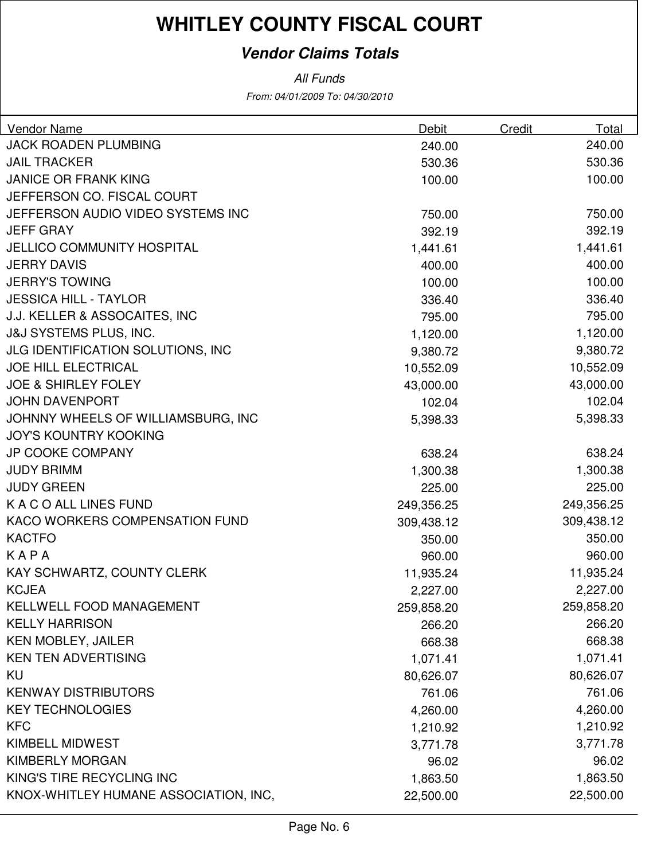#### **Vendor Claims Totals**

| Vendor Name                           | Debit      | Credit | Total      |
|---------------------------------------|------------|--------|------------|
| <b>JACK ROADEN PLUMBING</b>           | 240.00     |        | 240.00     |
| <b>JAIL TRACKER</b>                   | 530.36     |        | 530.36     |
| <b>JANICE OR FRANK KING</b>           | 100.00     |        | 100.00     |
| JEFFERSON CO. FISCAL COURT            |            |        |            |
| JEFFERSON AUDIO VIDEO SYSTEMS INC     | 750.00     |        | 750.00     |
| <b>JEFF GRAY</b>                      | 392.19     |        | 392.19     |
| <b>JELLICO COMMUNITY HOSPITAL</b>     | 1,441.61   |        | 1,441.61   |
| <b>JERRY DAVIS</b>                    | 400.00     |        | 400.00     |
| <b>JERRY'S TOWING</b>                 | 100.00     |        | 100.00     |
| <b>JESSICA HILL - TAYLOR</b>          | 336.40     |        | 336.40     |
| J.J. KELLER & ASSOCAITES, INC         | 795.00     |        | 795.00     |
| <b>J&amp;J SYSTEMS PLUS, INC.</b>     | 1,120.00   |        | 1,120.00   |
| JLG IDENTIFICATION SOLUTIONS, INC     | 9,380.72   |        | 9,380.72   |
| <b>JOE HILL ELECTRICAL</b>            | 10,552.09  |        | 10,552.09  |
| <b>JOE &amp; SHIRLEY FOLEY</b>        | 43,000.00  |        | 43,000.00  |
| <b>JOHN DAVENPORT</b>                 | 102.04     |        | 102.04     |
| JOHNNY WHEELS OF WILLIAMSBURG, INC    | 5,398.33   |        | 5,398.33   |
| <b>JOY'S KOUNTRY KOOKING</b>          |            |        |            |
| <b>JP COOKE COMPANY</b>               | 638.24     |        | 638.24     |
| <b>JUDY BRIMM</b>                     | 1,300.38   |        | 1,300.38   |
| <b>JUDY GREEN</b>                     | 225.00     |        | 225.00     |
| K A C O ALL LINES FUND                | 249,356.25 |        | 249,356.25 |
| KACO WORKERS COMPENSATION FUND        | 309,438.12 |        | 309,438.12 |
| <b>KACTFO</b>                         | 350.00     |        | 350.00     |
| KAPA                                  | 960.00     |        | 960.00     |
| KAY SCHWARTZ, COUNTY CLERK            | 11,935.24  |        | 11,935.24  |
| <b>KCJEA</b>                          | 2,227.00   |        | 2,227.00   |
| KELLWELL FOOD MANAGEMENT              | 259,858.20 |        | 259,858.20 |
| <b>KELLY HARRISON</b>                 | 266.20     |        | 266.20     |
| <b>KEN MOBLEY, JAILER</b>             | 668.38     |        | 668.38     |
| <b>KEN TEN ADVERTISING</b>            | 1,071.41   |        | 1,071.41   |
| KU                                    | 80,626.07  |        | 80,626.07  |
| <b>KENWAY DISTRIBUTORS</b>            | 761.06     |        | 761.06     |
| <b>KEY TECHNOLOGIES</b>               | 4,260.00   |        | 4,260.00   |
| <b>KFC</b>                            | 1,210.92   |        | 1,210.92   |
| KIMBELL MIDWEST                       | 3,771.78   |        | 3,771.78   |
| <b>KIMBERLY MORGAN</b>                | 96.02      |        | 96.02      |
| KING'S TIRE RECYCLING INC             | 1,863.50   |        | 1,863.50   |
| KNOX-WHITLEY HUMANE ASSOCIATION, INC, | 22,500.00  |        | 22,500.00  |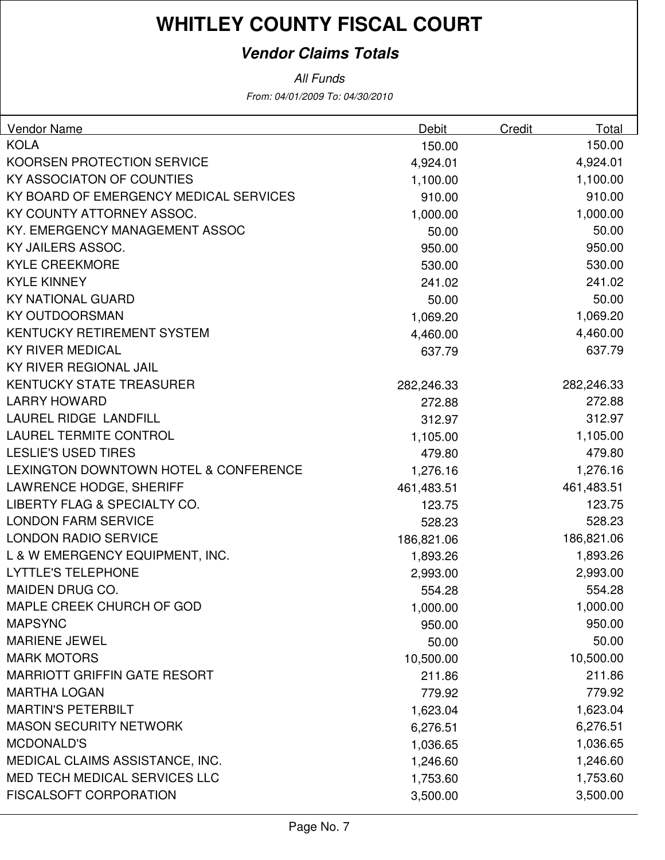#### **Vendor Claims Totals**

| <b>Vendor Name</b>                     | Debit      | Credit | Total      |
|----------------------------------------|------------|--------|------------|
| <b>KOLA</b>                            | 150.00     |        | 150.00     |
| KOORSEN PROTECTION SERVICE             | 4,924.01   |        | 4,924.01   |
| KY ASSOCIATON OF COUNTIES              | 1,100.00   |        | 1,100.00   |
| KY BOARD OF EMERGENCY MEDICAL SERVICES | 910.00     |        | 910.00     |
| KY COUNTY ATTORNEY ASSOC.              | 1,000.00   |        | 1,000.00   |
| KY. EMERGENCY MANAGEMENT ASSOC         | 50.00      |        | 50.00      |
| KY JAILERS ASSOC.                      | 950.00     |        | 950.00     |
| <b>KYLE CREEKMORE</b>                  | 530.00     |        | 530.00     |
| <b>KYLE KINNEY</b>                     | 241.02     |        | 241.02     |
| <b>KY NATIONAL GUARD</b>               | 50.00      |        | 50.00      |
| <b>KY OUTDOORSMAN</b>                  | 1,069.20   |        | 1,069.20   |
| <b>KENTUCKY RETIREMENT SYSTEM</b>      | 4,460.00   |        | 4,460.00   |
| <b>KY RIVER MEDICAL</b>                | 637.79     |        | 637.79     |
| KY RIVER REGIONAL JAIL                 |            |        |            |
| <b>KENTUCKY STATE TREASURER</b>        | 282,246.33 |        | 282,246.33 |
| <b>LARRY HOWARD</b>                    | 272.88     |        | 272.88     |
| LAUREL RIDGE LANDFILL                  | 312.97     |        | 312.97     |
| <b>LAUREL TERMITE CONTROL</b>          | 1,105.00   |        | 1,105.00   |
| <b>LESLIE'S USED TIRES</b>             | 479.80     |        | 479.80     |
| LEXINGTON DOWNTOWN HOTEL & CONFERENCE  | 1,276.16   |        | 1,276.16   |
| LAWRENCE HODGE, SHERIFF                | 461,483.51 |        | 461,483.51 |
| LIBERTY FLAG & SPECIALTY CO.           | 123.75     |        | 123.75     |
| <b>LONDON FARM SERVICE</b>             | 528.23     |        | 528.23     |
| <b>LONDON RADIO SERVICE</b>            | 186,821.06 |        | 186,821.06 |
| L & W EMERGENCY EQUIPMENT, INC.        | 1,893.26   |        | 1,893.26   |
| <b>LYTTLE'S TELEPHONE</b>              | 2,993.00   |        | 2,993.00   |
| <b>MAIDEN DRUG CO.</b>                 | 554.28     |        | 554.28     |
| MAPLE CREEK CHURCH OF GOD              | 1,000.00   |        | 1,000.00   |
| <b>MAPSYNC</b>                         | 950.00     |        | 950.00     |
| <b>MARIENE JEWEL</b>                   | 50.00      |        | 50.00      |
| <b>MARK MOTORS</b>                     | 10,500.00  |        | 10,500.00  |
| <b>MARRIOTT GRIFFIN GATE RESORT</b>    | 211.86     |        | 211.86     |
| <b>MARTHA LOGAN</b>                    | 779.92     |        | 779.92     |
| <b>MARTIN'S PETERBILT</b>              | 1,623.04   |        | 1,623.04   |
| <b>MASON SECURITY NETWORK</b>          | 6,276.51   |        | 6,276.51   |
| <b>MCDONALD'S</b>                      | 1,036.65   |        | 1,036.65   |
| MEDICAL CLAIMS ASSISTANCE, INC.        | 1,246.60   |        | 1,246.60   |
| MED TECH MEDICAL SERVICES LLC          | 1,753.60   |        | 1,753.60   |
| <b>FISCALSOFT CORPORATION</b>          | 3,500.00   |        | 3,500.00   |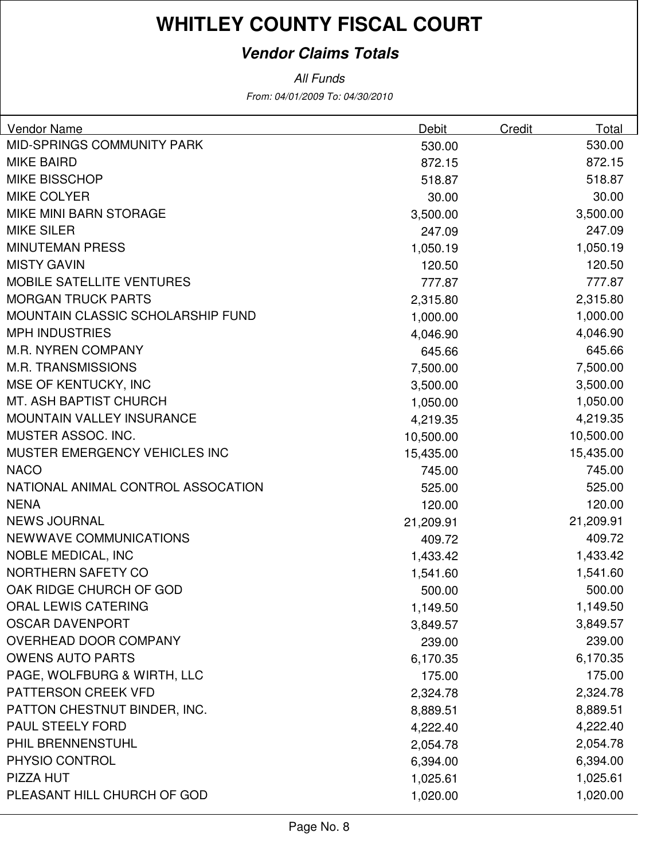#### **Vendor Claims Totals**

| <b>Vendor Name</b>                 | Debit     | Credit | Total     |
|------------------------------------|-----------|--------|-----------|
| <b>MID-SPRINGS COMMUNITY PARK</b>  | 530.00    |        | 530.00    |
| <b>MIKE BAIRD</b>                  | 872.15    |        | 872.15    |
| <b>MIKE BISSCHOP</b>               | 518.87    |        | 518.87    |
| <b>MIKE COLYER</b>                 | 30.00     |        | 30.00     |
| MIKE MINI BARN STORAGE             | 3,500.00  |        | 3,500.00  |
| <b>MIKE SILER</b>                  | 247.09    |        | 247.09    |
| <b>MINUTEMAN PRESS</b>             | 1,050.19  |        | 1,050.19  |
| <b>MISTY GAVIN</b>                 | 120.50    |        | 120.50    |
| <b>MOBILE SATELLITE VENTURES</b>   | 777.87    |        | 777.87    |
| <b>MORGAN TRUCK PARTS</b>          | 2,315.80  |        | 2,315.80  |
| MOUNTAIN CLASSIC SCHOLARSHIP FUND  | 1,000.00  |        | 1,000.00  |
| <b>MPH INDUSTRIES</b>              | 4,046.90  |        | 4,046.90  |
| <b>M.R. NYREN COMPANY</b>          | 645.66    |        | 645.66    |
| <b>M.R. TRANSMISSIONS</b>          | 7,500.00  |        | 7,500.00  |
| MSE OF KENTUCKY, INC               | 3,500.00  |        | 3,500.00  |
| <b>MT. ASH BAPTIST CHURCH</b>      | 1,050.00  |        | 1,050.00  |
| MOUNTAIN VALLEY INSURANCE          | 4,219.35  |        | 4,219.35  |
| MUSTER ASSOC. INC.                 | 10,500.00 |        | 10,500.00 |
| MUSTER EMERGENCY VEHICLES INC      | 15,435.00 |        | 15,435.00 |
| <b>NACO</b>                        | 745.00    |        | 745.00    |
| NATIONAL ANIMAL CONTROL ASSOCATION | 525.00    |        | 525.00    |
| <b>NENA</b>                        | 120.00    |        | 120.00    |
| <b>NEWS JOURNAL</b>                | 21,209.91 |        | 21,209.91 |
| <b>NEWWAVE COMMUNICATIONS</b>      | 409.72    |        | 409.72    |
| <b>NOBLE MEDICAL, INC</b>          | 1,433.42  |        | 1,433.42  |
| NORTHERN SAFETY CO                 | 1,541.60  |        | 1,541.60  |
| OAK RIDGE CHURCH OF GOD            | 500.00    |        | 500.00    |
| ORAL LEWIS CATERING                | 1,149.50  |        | 1,149.50  |
| <b>OSCAR DAVENPORT</b>             | 3,849.57  |        | 3,849.57  |
| OVERHEAD DOOR COMPANY              | 239.00    |        | 239.00    |
| <b>OWENS AUTO PARTS</b>            | 6,170.35  |        | 6,170.35  |
| PAGE, WOLFBURG & WIRTH, LLC        | 175.00    |        | 175.00    |
| PATTERSON CREEK VFD                | 2,324.78  |        | 2,324.78  |
| PATTON CHESTNUT BINDER, INC.       | 8,889.51  |        | 8,889.51  |
| <b>PAUL STEELY FORD</b>            | 4,222.40  |        | 4,222.40  |
| PHIL BRENNENSTUHL                  | 2,054.78  |        | 2,054.78  |
| PHYSIO CONTROL                     | 6,394.00  |        | 6,394.00  |
| PIZZA HUT                          | 1,025.61  |        | 1,025.61  |
| PLEASANT HILL CHURCH OF GOD        | 1,020.00  |        | 1,020.00  |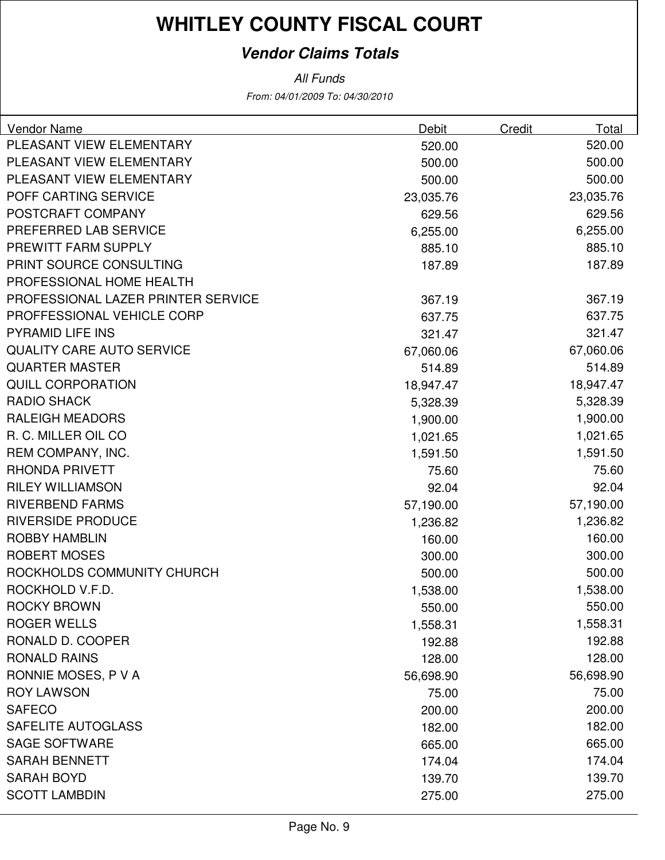#### **Vendor Claims Totals**

| <b>Vendor Name</b>                 | Debit     | <b>Credit</b> | <b>Total</b> |
|------------------------------------|-----------|---------------|--------------|
| PLEASANT VIEW ELEMENTARY           | 520.00    |               | 520.00       |
| PLEASANT VIEW ELEMENTARY           | 500.00    |               | 500.00       |
| PLEASANT VIEW ELEMENTARY           | 500.00    |               | 500.00       |
| POFF CARTING SERVICE               | 23,035.76 |               | 23,035.76    |
| POSTCRAFT COMPANY                  | 629.56    |               | 629.56       |
| PREFERRED LAB SERVICE              | 6,255.00  |               | 6,255.00     |
| PREWITT FARM SUPPLY                | 885.10    |               | 885.10       |
| PRINT SOURCE CONSULTING            | 187.89    |               | 187.89       |
| PROFESSIONAL HOME HEALTH           |           |               |              |
| PROFESSIONAL LAZER PRINTER SERVICE | 367.19    |               | 367.19       |
| PROFFESSIONAL VEHICLE CORP         | 637.75    |               | 637.75       |
| <b>PYRAMID LIFE INS</b>            | 321.47    |               | 321.47       |
| <b>QUALITY CARE AUTO SERVICE</b>   | 67,060.06 |               | 67,060.06    |
| <b>QUARTER MASTER</b>              | 514.89    |               | 514.89       |
| <b>QUILL CORPORATION</b>           | 18,947.47 |               | 18,947.47    |
| <b>RADIO SHACK</b>                 | 5,328.39  |               | 5,328.39     |
| <b>RALEIGH MEADORS</b>             | 1,900.00  |               | 1,900.00     |
| R. C. MILLER OIL CO                | 1,021.65  |               | 1,021.65     |
| REM COMPANY, INC.                  | 1,591.50  |               | 1,591.50     |
| <b>RHONDA PRIVETT</b>              | 75.60     |               | 75.60        |
| <b>RILEY WILLIAMSON</b>            | 92.04     |               | 92.04        |
| <b>RIVERBEND FARMS</b>             | 57,190.00 |               | 57,190.00    |
| <b>RIVERSIDE PRODUCE</b>           | 1,236.82  |               | 1,236.82     |
| <b>ROBBY HAMBLIN</b>               | 160.00    |               | 160.00       |
| <b>ROBERT MOSES</b>                | 300.00    |               | 300.00       |
| ROCKHOLDS COMMUNITY CHURCH         | 500.00    |               | 500.00       |
| ROCKHOLD V.F.D.                    | 1,538.00  |               | 1,538.00     |
| <b>ROCKY BROWN</b>                 | 550.00    |               | 550.00       |
| <b>ROGER WELLS</b>                 | 1,558.31  |               | 1,558.31     |
| RONALD D. COOPER                   | 192.88    |               | 192.88       |
| <b>RONALD RAINS</b>                | 128.00    |               | 128.00       |
| RONNIE MOSES, P V A                | 56,698.90 |               | 56,698.90    |
| <b>ROY LAWSON</b>                  | 75.00     |               | 75.00        |
| <b>SAFECO</b>                      | 200.00    |               | 200.00       |
| SAFELITE AUTOGLASS                 | 182.00    |               | 182.00       |
| <b>SAGE SOFTWARE</b>               | 665.00    |               | 665.00       |
| <b>SARAH BENNETT</b>               | 174.04    |               | 174.04       |
| <b>SARAH BOYD</b>                  | 139.70    |               | 139.70       |
| <b>SCOTT LAMBDIN</b>               | 275.00    |               | 275.00       |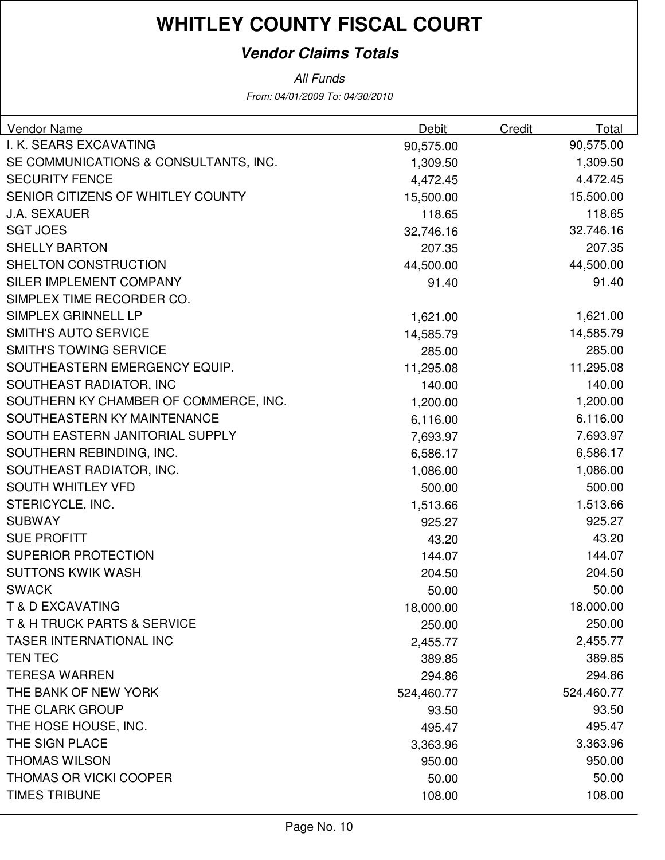#### **Vendor Claims Totals**

All Funds

From: 04/01/2009 To: 04/30/2010

| <b>Vendor Name</b>                         | Debit      | <b>Credit</b> | Total      |
|--------------------------------------------|------------|---------------|------------|
| I. K. SEARS EXCAVATING                     | 90,575.00  |               | 90,575.00  |
| SE COMMUNICATIONS & CONSULTANTS, INC.      | 1,309.50   |               | 1,309.50   |
| <b>SECURITY FENCE</b>                      | 4,472.45   |               | 4,472.45   |
| SENIOR CITIZENS OF WHITLEY COUNTY          | 15,500.00  |               | 15,500.00  |
| <b>J.A. SEXAUER</b>                        | 118.65     |               | 118.65     |
| <b>SGT JOES</b>                            | 32,746.16  |               | 32,746.16  |
| <b>SHELLY BARTON</b>                       | 207.35     |               | 207.35     |
| SHELTON CONSTRUCTION                       | 44,500.00  |               | 44,500.00  |
| SILER IMPLEMENT COMPANY                    | 91.40      |               | 91.40      |
| SIMPLEX TIME RECORDER CO.                  |            |               |            |
| SIMPLEX GRINNELL LP                        | 1,621.00   |               | 1,621.00   |
| <b>SMITH'S AUTO SERVICE</b>                | 14,585.79  |               | 14,585.79  |
| <b>SMITH'S TOWING SERVICE</b>              | 285.00     |               | 285.00     |
| SOUTHEASTERN EMERGENCY EQUIP.              | 11,295.08  |               | 11,295.08  |
| SOUTHEAST RADIATOR, INC                    | 140.00     |               | 140.00     |
| SOUTHERN KY CHAMBER OF COMMERCE, INC.      | 1,200.00   |               | 1,200.00   |
| SOUTHEASTERN KY MAINTENANCE                | 6,116.00   |               | 6,116.00   |
| SOUTH EASTERN JANITORIAL SUPPLY            | 7,693.97   |               | 7,693.97   |
| SOUTHERN REBINDING, INC.                   | 6,586.17   |               | 6,586.17   |
| SOUTHEAST RADIATOR, INC.                   | 1,086.00   |               | 1,086.00   |
| <b>SOUTH WHITLEY VFD</b>                   | 500.00     |               | 500.00     |
| STERICYCLE, INC.                           | 1,513.66   |               | 1,513.66   |
| <b>SUBWAY</b>                              | 925.27     |               | 925.27     |
| <b>SUE PROFITT</b>                         | 43.20      |               | 43.20      |
| <b>SUPERIOR PROTECTION</b>                 | 144.07     |               | 144.07     |
| <b>SUTTONS KWIK WASH</b>                   | 204.50     |               | 204.50     |
| <b>SWACK</b>                               | 50.00      |               | 50.00      |
| <b>T &amp; D EXCAVATING</b>                | 18,000.00  |               | 18,000.00  |
| <b>T &amp; H TRUCK PARTS &amp; SERVICE</b> | 250.00     |               | 250.00     |
| <b>TASER INTERNATIONAL INC</b>             | 2,455.77   |               | 2,455.77   |
| <b>TEN TEC</b>                             | 389.85     |               | 389.85     |
| <b>TERESA WARREN</b>                       | 294.86     |               | 294.86     |
| THE BANK OF NEW YORK                       | 524,460.77 |               | 524,460.77 |
| THE CLARK GROUP                            | 93.50      |               | 93.50      |
| THE HOSE HOUSE, INC.                       | 495.47     |               | 495.47     |
| THE SIGN PLACE                             | 3,363.96   |               | 3,363.96   |
| <b>THOMAS WILSON</b>                       | 950.00     |               | 950.00     |
| <b>THOMAS OR VICKI COOPER</b>              | 50.00      |               | 50.00      |
| <b>TIMES TRIBUNE</b>                       | 108.00     |               | 108.00     |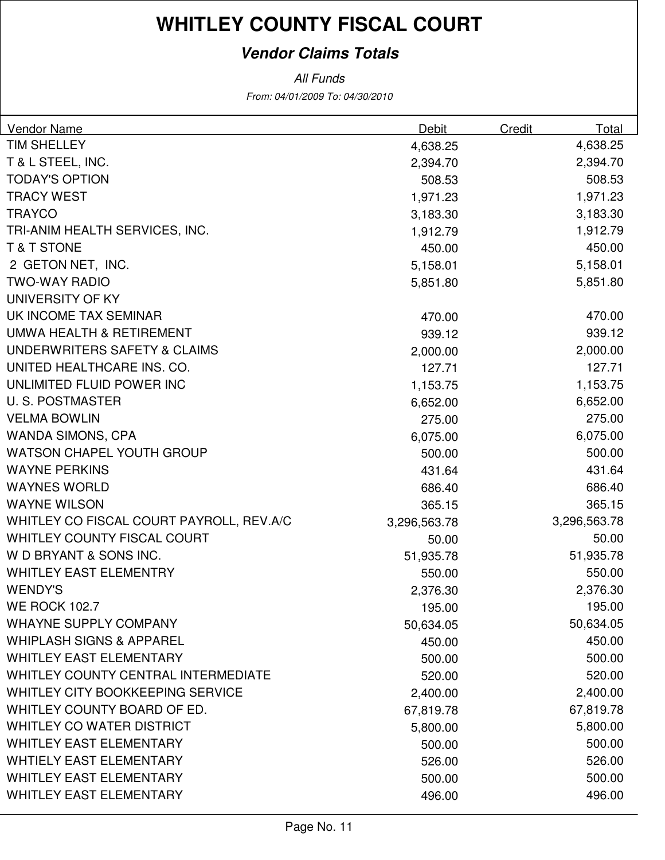#### **Vendor Claims Totals**

| <b>Vendor Name</b>                         | Debit        | Credit | Total        |
|--------------------------------------------|--------------|--------|--------------|
| <b>TIM SHELLEY</b>                         | 4,638.25     |        | 4,638.25     |
| T & L STEEL, INC.                          | 2,394.70     |        | 2,394.70     |
| <b>TODAY'S OPTION</b>                      | 508.53       |        | 508.53       |
| <b>TRACY WEST</b>                          | 1,971.23     |        | 1,971.23     |
| <b>TRAYCO</b>                              | 3,183.30     |        | 3,183.30     |
| TRI-ANIM HEALTH SERVICES, INC.             | 1,912.79     |        | 1,912.79     |
| <b>T&amp;T STONE</b>                       | 450.00       |        | 450.00       |
| 2 GETON NET, INC.                          | 5,158.01     |        | 5,158.01     |
| <b>TWO-WAY RADIO</b>                       | 5,851.80     |        | 5,851.80     |
| UNIVERSITY OF KY                           |              |        |              |
| UK INCOME TAX SEMINAR                      | 470.00       |        | 470.00       |
| <b>UMWA HEALTH &amp; RETIREMENT</b>        | 939.12       |        | 939.12       |
| UNDERWRITERS SAFETY & CLAIMS               | 2,000.00     |        | 2,000.00     |
| UNITED HEALTHCARE INS. CO.                 | 127.71       |        | 127.71       |
| UNLIMITED FLUID POWER INC                  | 1,153.75     |        | 1,153.75     |
| <b>U.S. POSTMASTER</b>                     | 6,652.00     |        | 6,652.00     |
| <b>VELMA BOWLIN</b>                        | 275.00       |        | 275.00       |
| <b>WANDA SIMONS, CPA</b>                   | 6,075.00     |        | 6,075.00     |
| <b>WATSON CHAPEL YOUTH GROUP</b>           | 500.00       |        | 500.00       |
| <b>WAYNE PERKINS</b>                       | 431.64       |        | 431.64       |
| <b>WAYNES WORLD</b>                        | 686.40       |        | 686.40       |
| <b>WAYNE WILSON</b>                        | 365.15       |        | 365.15       |
| WHITLEY CO FISCAL COURT PAYROLL, REV.A/C   | 3,296,563.78 |        | 3,296,563.78 |
| WHITLEY COUNTY FISCAL COURT                | 50.00        |        | 50.00        |
| W D BRYANT & SONS INC.                     | 51,935.78    |        | 51,935.78    |
| <b>WHITLEY EAST ELEMENTRY</b>              | 550.00       |        | 550.00       |
| <b>WENDY'S</b>                             | 2,376.30     |        | 2,376.30     |
| <b>WE ROCK 102.7</b>                       | 195.00       |        | 195.00       |
| <b>WHAYNE SUPPLY COMPANY</b>               | 50,634.05    |        | 50,634.05    |
| <b>WHIPLASH SIGNS &amp; APPAREL</b>        | 450.00       |        | 450.00       |
| <b>WHITLEY EAST ELEMENTARY</b>             | 500.00       |        | 500.00       |
| <b>WHITLEY COUNTY CENTRAL INTERMEDIATE</b> | 520.00       |        | 520.00       |
| WHITLEY CITY BOOKKEEPING SERVICE           | 2,400.00     |        | 2,400.00     |
| WHITLEY COUNTY BOARD OF ED.                | 67,819.78    |        | 67,819.78    |
| <b>WHITLEY CO WATER DISTRICT</b>           | 5,800.00     |        | 5,800.00     |
| <b>WHITLEY EAST ELEMENTARY</b>             | 500.00       |        | 500.00       |
| <b>WHTIELY EAST ELEMENTARY</b>             | 526.00       |        | 526.00       |
| <b>WHITLEY EAST ELEMENTARY</b>             | 500.00       |        | 500.00       |
| WHITLEY EAST ELEMENTARY                    | 496.00       |        | 496.00       |